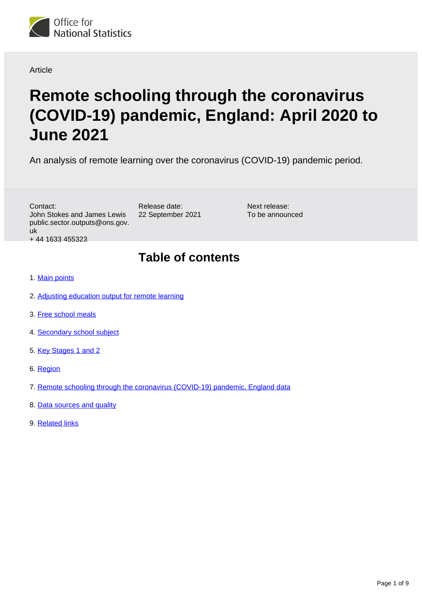

Article

# **Remote schooling through the coronavirus (COVID-19) pandemic, England: April 2020 to June 2021**

An analysis of remote learning over the coronavirus (COVID-19) pandemic period.

Next release: To be announced

Contact: John Stokes and James Lewis public.sector.outputs@ons.gov. uk + 44 1633 455323

# **Table of contents**

- 1. [Main points](#page-1-0)
- 2. [Adjusting education output for remote learning](#page-1-1)
- 3. [Free school meals](#page-3-0)
- 4. [Secondary school subject](#page-4-0)
- 5. [Key Stages 1 and 2](#page-5-0)
- 6. [Region](#page-6-0)
- 7. [Remote schooling through the coronavirus \(COVID-19\) pandemic, England data](#page-7-0)

Release date: 22 September 2021

- 8. [Data sources and quality](#page-7-1)
- 9. [Related links](#page-8-0)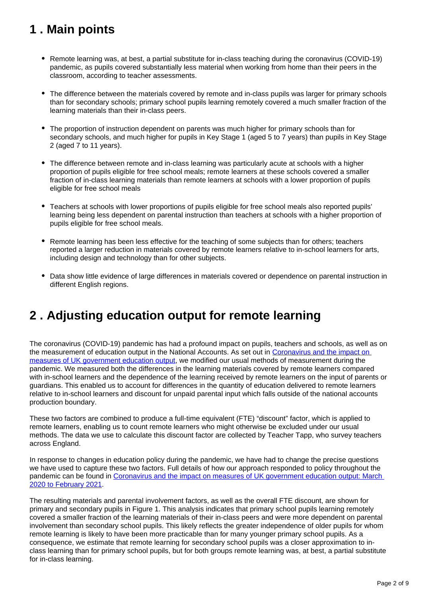# <span id="page-1-0"></span>**1 . Main points**

- Remote learning was, at best, a partial substitute for in-class teaching during the coronavirus (COVID-19) pandemic, as pupils covered substantially less material when working from home than their peers in the classroom, according to teacher assessments.
- The difference between the materials covered by remote and in-class pupils was larger for primary schools than for secondary schools; primary school pupils learning remotely covered a much smaller fraction of the learning materials than their in-class peers.
- The proportion of instruction dependent on parents was much higher for primary schools than for secondary schools, and much higher for pupils in Key Stage 1 (aged 5 to 7 years) than pupils in Key Stage 2 (aged 7 to 11 years).
- The difference between remote and in-class learning was particularly acute at schools with a higher proportion of pupils eligible for free school meals; remote learners at these schools covered a smaller fraction of in-class learning materials than remote learners at schools with a lower proportion of pupils eligible for free school meals
- Teachers at schools with lower proportions of pupils eligible for free school meals also reported pupils' learning being less dependent on parental instruction than teachers at schools with a higher proportion of pupils eligible for free school meals.
- Remote learning has been less effective for the teaching of some subjects than for others; teachers reported a larger reduction in materials covered by remote learners relative to in-school learners for arts, including design and technology than for other subjects.
- Data show little evidence of large differences in materials covered or dependence on parental instruction in different English regions.

# <span id="page-1-1"></span>**2 . Adjusting education output for remote learning**

The coronavirus (COVID-19) pandemic has had a profound impact on pupils, teachers and schools, as well as on the measurement of education output in the National Accounts. As set out in [Coronavirus and the impact on](https://www.ons.gov.uk/economy/grossdomesticproductgdp/articles/coronavirusandtheimpactonmeasuresofukgovernmenteducationoutput/2020-05-13)  [measures of UK government education output](https://www.ons.gov.uk/economy/grossdomesticproductgdp/articles/coronavirusandtheimpactonmeasuresofukgovernmenteducationoutput/2020-05-13), we modified our usual methods of measurement during the pandemic. We measured both the differences in the learning materials covered by remote learners compared with in-school learners and the dependence of the learning received by remote learners on the input of parents or guardians. This enabled us to account for differences in the quantity of education delivered to remote learners relative to in-school learners and discount for unpaid parental input which falls outside of the national accounts production boundary.

These two factors are combined to produce a full-time equivalent (FTE) "discount" factor, which is applied to remote learners, enabling us to count remote learners who might otherwise be excluded under our usual methods. The data we use to calculate this discount factor are collected by Teacher Tapp, who survey teachers across England.

In response to changes in education policy during the pandemic, we have had to change the precise questions we have used to capture these two factors. Full details of how our approach responded to policy throughout the pandemic can be found in Coronavirus and the impact on measures of UK government education output: March [2020 to February 2021.](https://www.ons.gov.uk/economy/grossdomesticproductgdp/articles/coronavirusandtheimpactonmeasuresofukgovernmenteducationoutput/march2020tofebruary2021)

The resulting materials and parental involvement factors, as well as the overall FTE discount, are shown for primary and secondary pupils in Figure 1. This analysis indicates that primary school pupils learning remotely covered a smaller fraction of the learning materials of their in-class peers and were more dependent on parental involvement than secondary school pupils. This likely reflects the greater independence of older pupils for whom remote learning is likely to have been more practicable than for many younger primary school pupils. As a consequence, we estimate that remote learning for secondary school pupils was a closer approximation to inclass learning than for primary school pupils, but for both groups remote learning was, at best, a partial substitute for in-class learning.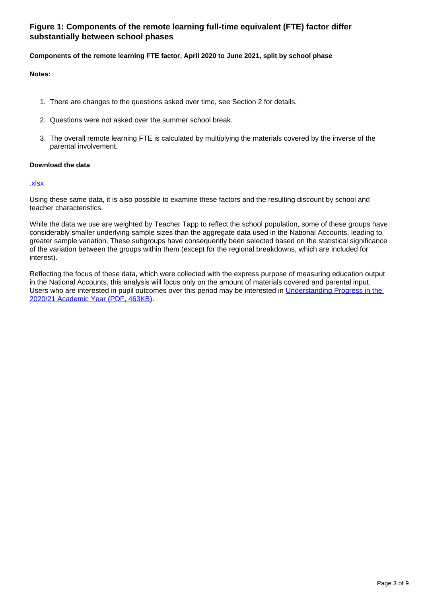### **Figure 1: Components of the remote learning full-time equivalent (FTE) factor differ substantially between school phases**

#### **Components of the remote learning FTE factor, April 2020 to June 2021, split by school phase**

#### **Notes:**

- 1. There are changes to the questions asked over time, see Section 2 for details.
- 2. Questions were not asked over the summer school break.
- 3. The overall remote learning FTE is calculated by multiplying the materials covered by the inverse of the parental involvement.

#### **Download the data**

#### [.xlsx](https://www.ons.gov.uk/visualisations/dvc1512/fig1/datadownload.xlsx)

Using these same data, it is also possible to examine these factors and the resulting discount by school and teacher characteristics.

While the data we use are weighted by Teacher Tapp to reflect the school population, some of these groups have considerably smaller underlying sample sizes than the aggregate data used in the National Accounts, leading to greater sample variation. These subgroups have consequently been selected based on the statistical significance of the variation between the groups within them (except for the regional breakdowns, which are included for interest).

Reflecting the focus of these data, which were collected with the express purpose of measuring education output in the National Accounts, this analysis will focus only on the amount of materials covered and parental input. Users who are interested in pupil outcomes over this period may be interested in Understanding Progress in the [2020/21 Academic Year \(PDF, 463KB\)](https://assets.publishing.service.gov.uk/government/uploads/system/uploads/attachment_data/file/962330/Learning_Loss_Report_1A_-_FINAL.pdf).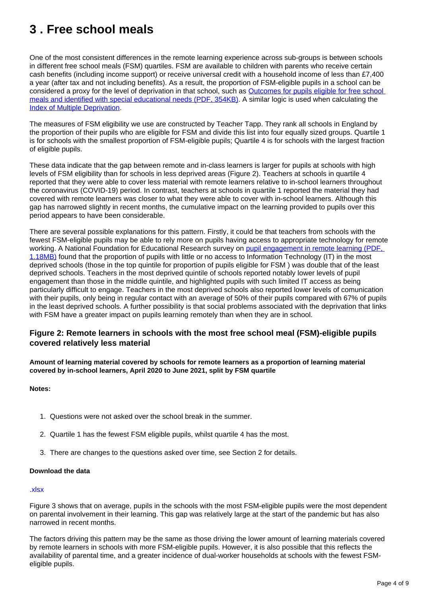# <span id="page-3-0"></span>**3 . Free school meals**

One of the most consistent differences in the remote learning experience across sub-groups is between schools in different free school meals (FSM) quartiles. FSM are available to children with parents who receive certain cash benefits (including income support) or receive universal credit with a household income of less than £7,400 a year (after tax and not including benefits). As a result, the proportion of FSM-eligible pupils in a school can be considered a proxy for the level of deprivation in that school, such as [Outcomes for pupils eligible for free school](https://assets.publishing.service.gov.uk/government/uploads/system/uploads/attachment_data/file/730977/FSM_and_SEND_outcomes-statistics.pdf)  [meals and identified with special educational needs \(PDF, 354KB\)](https://assets.publishing.service.gov.uk/government/uploads/system/uploads/attachment_data/file/730977/FSM_and_SEND_outcomes-statistics.pdf). A similar logic is used when calculating the [Index of Multiple Deprivation.](https://www.gov.uk/government/statistics/english-indices-of-deprivation-2019)

The measures of FSM eligibility we use are constructed by Teacher Tapp. They rank all schools in England by the proportion of their pupils who are eligible for FSM and divide this list into four equally sized groups. Quartile 1 is for schools with the smallest proportion of FSM-eligible pupils; Quartile 4 is for schools with the largest fraction of eligible pupils.

These data indicate that the gap between remote and in-class learners is larger for pupils at schools with high levels of FSM eligibility than for schools in less deprived areas (Figure 2). Teachers at schools in quartile 4 reported that they were able to cover less material with remote learners relative to in-school learners throughout the coronavirus (COVID-19) period. In contrast, teachers at schools in quartile 1 reported the material they had covered with remote learners was closer to what they were able to cover with in-school learners. Although this gap has narrowed slightly in recent months, the cumulative impact on the learning provided to pupils over this period appears to have been considerable.

There are several possible explanations for this pattern. Firstly, it could be that teachers from schools with the fewest FSM-eligible pupils may be able to rely more on pupils having access to appropriate technology for remote working. A National Foundation for Educational Research survey on [pupil engagement in remote learning \(PDF,](https://www.nuffieldfoundation.org/wp-content/uploads/2020/06/NFER_-schools_responses_to_covid_19_pupil_engagement_in_remote_learning.pdf)  [1.18MB\)](https://www.nuffieldfoundation.org/wp-content/uploads/2020/06/NFER_-schools_responses_to_covid_19_pupil_engagement_in_remote_learning.pdf) found that the proportion of pupils with little or no access to Information Technology (IT) in the most deprived schools (those in the top quintile for proportion of pupils eligible for FSM ) was double that of the least deprived schools. Teachers in the most deprived quintile of schools reported notably lower levels of pupil engagement than those in the middle quintile, and highlighted pupils with such limited IT access as being particularly difficult to engage. Teachers in the most deprived schools also reported lower levels of comunication with their pupils, only being in regular contact with an average of 50% of their pupils compared with 67% of pupils in the least deprived schools. A further possibility is that social problems associated with the deprivation that links with FSM have a greater impact on pupils learning remotely than when they are in school.

### **Figure 2: Remote learners in schools with the most free school meal (FSM)-eligible pupils covered relatively less material**

**Amount of learning material covered by schools for remote learners as a proportion of learning material covered by in-school learners, April 2020 to June 2021, split by FSM quartile**

#### **Notes:**

- 1. Questions were not asked over the school break in the summer.
- 2. Quartile 1 has the fewest FSM eligible pupils, whilst quartile 4 has the most.
- 3. There are changes to the questions asked over time, see Section 2 for details.

#### **Download the data**

#### [.xlsx](https://www.ons.gov.uk/visualisations/dvc1512/fig2/datadownload.xlsx)

Figure 3 shows that on average, pupils in the schools with the most FSM-eligible pupils were the most dependent on parental involvement in their learning. This gap was relatively large at the start of the pandemic but has also narrowed in recent months.

The factors driving this pattern may be the same as those driving the lower amount of learning materials covered by remote learners in schools with more FSM-eligible pupils. However, it is also possible that this reflects the availability of parental time, and a greater incidence of dual-worker households at schools with the fewest FSMeligible pupils.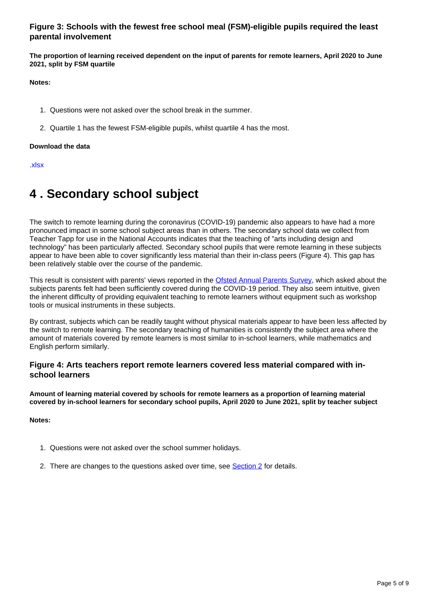### **Figure 3: Schools with the fewest free school meal (FSM)-eligible pupils required the least parental involvement**

**The proportion of learning received dependent on the input of parents for remote learners, April 2020 to June 2021, split by FSM quartile**

**Notes:**

- 1. Questions were not asked over the school break in the summer.
- 2. Quartile 1 has the fewest FSM-eligible pupils, whilst quartile 4 has the most.

#### **Download the data**

[.xlsx](https://www.ons.gov.uk/visualisations/dvc1512/fig3/datadownload.xlsx)

# <span id="page-4-0"></span>**4 . Secondary school subject**

The switch to remote learning during the coronavirus (COVID-19) pandemic also appears to have had a more pronounced impact in some school subject areas than in others. The secondary school data we collect from Teacher Tapp for use in the National Accounts indicates that the teaching of "arts including design and technology" has been particularly affected. Secondary school pupils that were remote learning in these subjects appear to have been able to cover significantly less material than their in-class peers (Figure 4). This gap has been relatively stable over the course of the pandemic.

This result is consistent with parents' views reported in the [Ofsted Annual Parents Survey,](https://www.gov.uk/government/publications/annual-parents-survey) which asked about the subjects parents felt had been sufficiently covered during the COVID-19 period. They also seem intuitive, given the inherent difficulty of providing equivalent teaching to remote learners without equipment such as workshop tools or musical instruments in these subjects.

By contrast, subjects which can be readily taught without physical materials appear to have been less affected by the switch to remote learning. The secondary teaching of humanities is consistently the subject area where the amount of materials covered by remote learners is most similar to in-school learners, while mathematics and English perform similarly.

### **Figure 4: Arts teachers report remote learners covered less material compared with inschool learners**

**Amount of learning material covered by schools for remote learners as a proportion of learning material covered by in-school learners for secondary school pupils, April 2020 to June 2021, split by teacher subject**

**Notes:**

- 1. Questions were not asked over the school summer holidays.
- 2. There are changes to the questions asked over time, see **[Section 2](https://www.ons.gov.uk/peoplepopulationandcommunity/educationandchildcare/articles/remoteschoolingthroughthecoronaviruscovid19pandemicengland/april2020tojune2021#adjusting-education-output-for-remote-learning)** for details.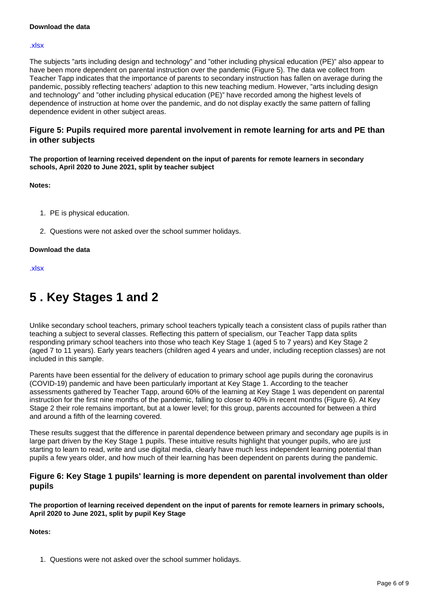#### **Download the data**

#### [.xlsx](https://www.ons.gov.uk/visualisations/dvc1512/fig4/datadownload.xlsx)

The subjects "arts including design and technology" and "other including physical education (PE)" also appear to have been more dependent on parental instruction over the pandemic (Figure 5). The data we collect from Teacher Tapp indicates that the importance of parents to secondary instruction has fallen on average during the pandemic, possibly reflecting teachers' adaption to this new teaching medium. However, "arts including design and technology" and "other including physical education (PE)" have recorded among the highest levels of dependence of instruction at home over the pandemic, and do not display exactly the same pattern of falling dependence evident in other subject areas.

### **Figure 5: Pupils required more parental involvement in remote learning for arts and PE than in other subjects**

**The proportion of learning received dependent on the input of parents for remote learners in secondary schools, April 2020 to June 2021, split by teacher subject**

**Notes:**

- 1. PE is physical education.
- 2. Questions were not asked over the school summer holidays.

#### **Download the data**

[.xlsx](https://www.ons.gov.uk/visualisations/dvc1512/fig5/datadownload.xlsx)

# <span id="page-5-0"></span>**5 . Key Stages 1 and 2**

Unlike secondary school teachers, primary school teachers typically teach a consistent class of pupils rather than teaching a subject to several classes. Reflecting this pattern of specialism, our Teacher Tapp data splits responding primary school teachers into those who teach Key Stage 1 (aged 5 to 7 years) and Key Stage 2 (aged 7 to 11 years). Early years teachers (children aged 4 years and under, including reception classes) are not included in this sample.

Parents have been essential for the delivery of education to primary school age pupils during the coronavirus (COVID-19) pandemic and have been particularly important at Key Stage 1. According to the teacher assessments gathered by Teacher Tapp, around 60% of the learning at Key Stage 1 was dependent on parental instruction for the first nine months of the pandemic, falling to closer to 40% in recent months (Figure 6). At Key Stage 2 their role remains important, but at a lower level; for this group, parents accounted for between a third and around a fifth of the learning covered.

These results suggest that the difference in parental dependence between primary and secondary age pupils is in large part driven by the Key Stage 1 pupils. These intuitive results highlight that younger pupils, who are just starting to learn to read, write and use digital media, clearly have much less independent learning potential than pupils a few years older, and how much of their learning has been dependent on parents during the pandemic.

### **Figure 6: Key Stage 1 pupils' learning is more dependent on parental involvement than older pupils**

**The proportion of learning received dependent on the input of parents for remote learners in primary schools, April 2020 to June 2021, split by pupil Key Stage**

**Notes:**

1. Questions were not asked over the school summer holidays.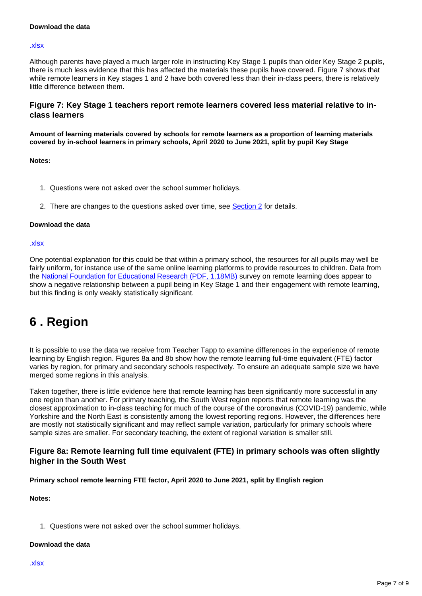#### **Download the data**

#### [.xlsx](https://www.ons.gov.uk/visualisations/dvc1512/fig6/datadownload.xlsx)

Although parents have played a much larger role in instructing Key Stage 1 pupils than older Key Stage 2 pupils, there is much less evidence that this has affected the materials these pupils have covered. Figure 7 shows that while remote learners in Key stages 1 and 2 have both covered less than their in-class peers, there is relatively little difference between them.

### **Figure 7: Key Stage 1 teachers report remote learners covered less material relative to inclass learners**

**Amount of learning materials covered by schools for remote learners as a proportion of learning materials covered by in-school learners in primary schools, April 2020 to June 2021, split by pupil Key Stage**

#### **Notes:**

- 1. Questions were not asked over the school summer holidays.
- 2. There are changes to the questions asked over time, see **[Section 2](https://www.ons.gov.uk/peoplepopulationandcommunity/educationandchildcare/articles/remoteschoolingthroughthecoronaviruscovid19pandemicengland/april2020tojune2021#adjusting-education-output-for-remote-learning)** for details.

#### **Download the data**

#### [.xlsx](https://www.ons.gov.uk/visualisations/dvc1512/fig7/datadownload.xlsx)

One potential explanation for this could be that within a primary school, the resources for all pupils may well be fairly uniform, for instance use of the same online learning platforms to provide resources to children. Data from the [National Foundation for Educational Research \(PDF, 1.18MB\)](https://www.nuffieldfoundation.org/wp-content/uploads/2020/06/NFER_-schools_responses_to_covid_19_pupil_engagement_in_remote_learning.pdf) survey on remote learning does appear to show a negative relationship between a pupil being in Key Stage 1 and their engagement with remote learning, but this finding is only weakly statistically significant.

# <span id="page-6-0"></span>**6 . Region**

It is possible to use the data we receive from Teacher Tapp to examine differences in the experience of remote learning by English region. Figures 8a and 8b show how the remote learning full-time equivalent (FTE) factor varies by region, for primary and secondary schools respectively. To ensure an adequate sample size we have merged some regions in this analysis.

Taken together, there is little evidence here that remote learning has been significantly more successful in any one region than another. For primary teaching, the South West region reports that remote learning was the closest approximation to in-class teaching for much of the course of the coronavirus (COVID-19) pandemic, while Yorkshire and the North East is consistently among the lowest reporting regions. However, the differences here are mostly not statistically significant and may reflect sample variation, particularly for primary schools where sample sizes are smaller. For secondary teaching, the extent of regional variation is smaller still.

### **Figure 8a: Remote learning full time equivalent (FTE) in primary schools was often slightly higher in the South West**

**Primary school remote learning FTE factor, April 2020 to June 2021, split by English region**

#### **Notes:**

1. Questions were not asked over the school summer holidays.

#### **Download the data**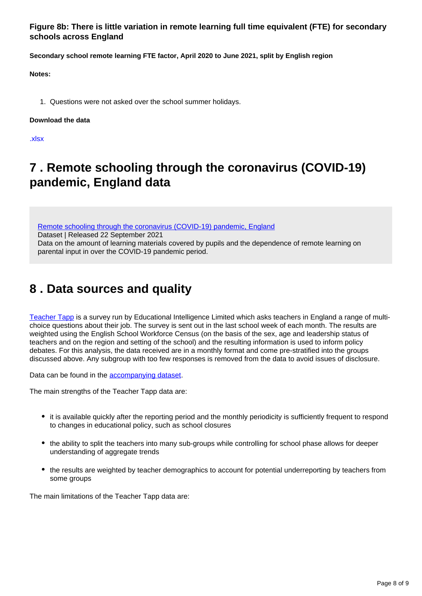**Figure 8b: There is little variation in remote learning full time equivalent (FTE) for secondary schools across England**

**Secondary school remote learning FTE factor, April 2020 to June 2021, split by English region**

**Notes:**

1. Questions were not asked over the school summer holidays.

#### **Download the data**

[.xlsx](https://www.ons.gov.uk/visualisations/dvc1512/fig8b/datadownload.xlsx)

# <span id="page-7-0"></span>**7 . Remote schooling through the coronavirus (COVID-19) pandemic, England data**

[Remote schooling through the coronavirus \(COVID-19\) pandemic, England](https://www.ons.gov.uk/peoplepopulationandcommunity/educationandchildcare/datasets/remoteschoolingthroughthecoronaviruscovid19pandemicengland) Dataset | Released 22 September 2021 Data on the amount of learning materials covered by pupils and the dependence of remote learning on parental input in over the COVID-19 pandemic period.

# <span id="page-7-1"></span>**8 . Data sources and quality**

[Teacher Tapp](https://teachertapp.co.uk/) is a survey run by Educational Intelligence Limited which asks teachers in England a range of multichoice questions about their job. The survey is sent out in the last school week of each month. The results are weighted using the English School Workforce Census (on the basis of the sex, age and leadership status of teachers and on the region and setting of the school) and the resulting information is used to inform policy debates. For this analysis, the data received are in a monthly format and come pre-stratified into the groups discussed above. Any subgroup with too few responses is removed from the data to avoid issues of disclosure.

Data can be found in the **accompanying dataset**.

The main strengths of the Teacher Tapp data are:

- it is available quickly after the reporting period and the monthly periodicity is sufficiently frequent to respond to changes in educational policy, such as school closures
- the ability to split the teachers into many sub-groups while controlling for school phase allows for deeper understanding of aggregate trends
- the results are weighted by teacher demographics to account for potential underreporting by teachers from some groups

The main limitations of the Teacher Tapp data are: